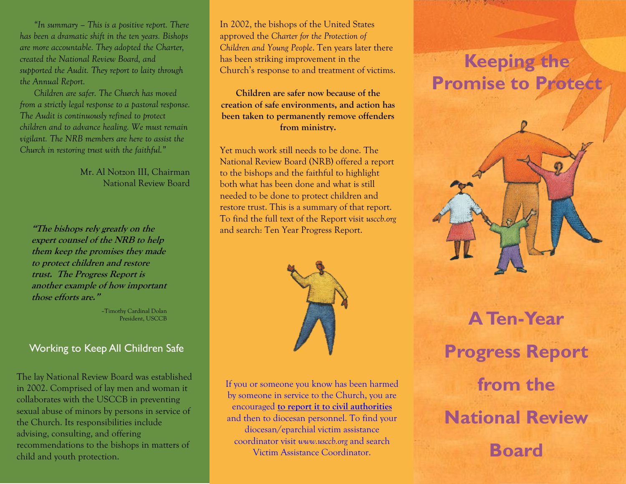*"In summary – This is a positive report. There has been a dramatic shift in the ten years. Bishops are more accountable. They adopted the Charter, created the National Review Board, and supported the Audit. They report to laity through the Annual Report.* 

*Children are safer. The Church has moved from a strictly legal response to a pastoral response. The Audit is continuously refined to protect children and to advance healing. We must remain vigilant. The NRB members are here to assist the Church in restoring trust with the faithful."*

> Mr. Al Notzon III, Chairman National Review Board

**"The bishops rely greatly on the expert counsel of the NRB to help them keep the promises they made to protect children and restore trust. The Progress Report is another example of how important those efforts are."**

> –Timothy Cardinal Dolan President, USCCB

### Working to Keep All Children Safe

The lay National Review Board was established in 2002. Comprised of lay men and woman it collaborates with the USCCB in preventing sexual abuse of minors by persons in service of the Church. Its responsibilities include advising, consulting, and offering recommendations to the bishops in matters of child and youth protection.

In 2002, the bishops of the United States approved the *Charter for the Protection of Children and Young People*. Ten years later there has been striking improvement in the Church's response to and treatment of victims.

**Children are safer now because of the creation of safe environments, and action has been taken to permanently remove offenders from ministry.** 

Yet much work still needs to be done. The National Review Board (NRB) offered a report to the bishops and the faithful to highlight both what has been done and what is still needed to be done to protect children and restore trust. This is a summary of that report. To find the full text of the Report visit *usccb.org*  and search: Ten Year Progress Report.



If you or someone you know has been harmed by someone in service to the Church, you are encouraged **to report it to civil authorities**  and then to diocesan personnel. To find your diocesan/eparchial victim assistance coordinator visit *www.usccb.org* and search Victim Assistance Coordinator.

# **Keeping the Promise to Protect**



**A Ten-Year Progress Report from the National Review Board**